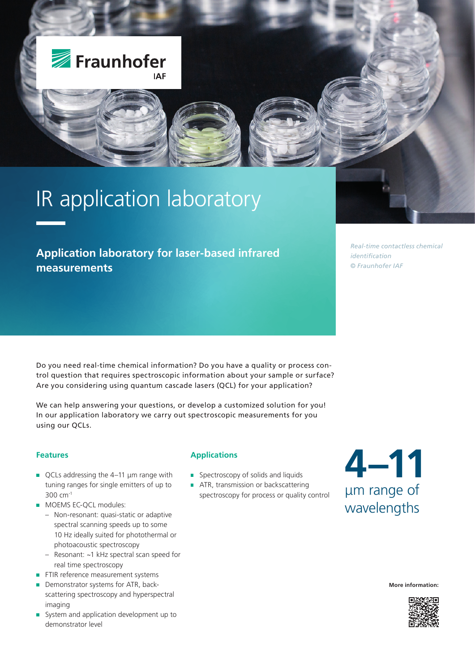

# IR application laboratory

### **Application laboratory for laser-based infrared measurements**

*Real-time contactless chemical identification © Fraunhofer IAF*

Do you need real-time chemical information? Do you have a quality or process control question that requires spectroscopic information about your sample or surface? Are you considering using quantum cascade lasers (QCL) for your application?

We can help answering your questions, or develop a customized solution for you! In our application laboratory we carry out spectroscopic measurements for you using our QCLs.

### **Features**

- QCLs addressing the 4-11 µm range with tuning ranges for single emitters of up to 300 cm-1
- **MOEMS EC-OCL modules:** 
	- Non-resonant: quasi-static or adaptive spectral scanning speeds up to some 10 Hz ideally suited for photothermal or photoacoustic spectroscopy
	- Resonant: ~1 kHz spectral scan speed for real time spectroscopy
- FTIR reference measurement systems
- Demonstrator systems for ATR, back-× scattering spectroscopy and hyperspectral imaging
- System and application development up to demonstrator level

### **Applications**

- **Spectroscopy of solids and liquids**
- **ATR, transmission or backscattering** spectroscopy for process or quality control

## **4–11** μm range of wavelengths

**More information:**